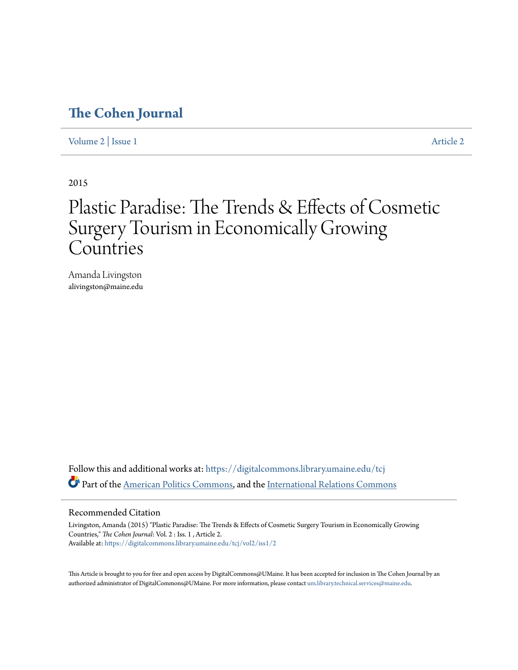## **[The Cohen Journal](https://digitalcommons.library.umaine.edu/tcj?utm_source=digitalcommons.library.umaine.edu%2Ftcj%2Fvol2%2Fiss1%2F2&utm_medium=PDF&utm_campaign=PDFCoverPages)**

[Volume 2](https://digitalcommons.library.umaine.edu/tcj/vol2?utm_source=digitalcommons.library.umaine.edu%2Ftcj%2Fvol2%2Fiss1%2F2&utm_medium=PDF&utm_campaign=PDFCoverPages) | [Issue 1](https://digitalcommons.library.umaine.edu/tcj/vol2/iss1?utm_source=digitalcommons.library.umaine.edu%2Ftcj%2Fvol2%2Fiss1%2F2&utm_medium=PDF&utm_campaign=PDFCoverPages) [Article 2](https://digitalcommons.library.umaine.edu/tcj/vol2/iss1/2?utm_source=digitalcommons.library.umaine.edu%2Ftcj%2Fvol2%2Fiss1%2F2&utm_medium=PDF&utm_campaign=PDFCoverPages)

2015

## Plastic Paradise: The Trends & Effects of Cosmetic Surgery Tourism in Economically Growing Countries

Amanda Livingston alivingston@maine.edu

Follow this and additional works at: [https://digitalcommons.library.umaine.edu/tcj](https://digitalcommons.library.umaine.edu/tcj?utm_source=digitalcommons.library.umaine.edu%2Ftcj%2Fvol2%2Fiss1%2F2&utm_medium=PDF&utm_campaign=PDFCoverPages) Part of the [American Politics Commons](http://network.bepress.com/hgg/discipline/387?utm_source=digitalcommons.library.umaine.edu%2Ftcj%2Fvol2%2Fiss1%2F2&utm_medium=PDF&utm_campaign=PDFCoverPages), and the [International Relations Commons](http://network.bepress.com/hgg/discipline/389?utm_source=digitalcommons.library.umaine.edu%2Ftcj%2Fvol2%2Fiss1%2F2&utm_medium=PDF&utm_campaign=PDFCoverPages)

## Recommended Citation

Livingston, Amanda (2015) "Plastic Paradise: The Trends & Effects of Cosmetic Surgery Tourism in Economically Growing Countries," *The Cohen Journal*: Vol. 2 : Iss. 1 , Article 2. Available at: [https://digitalcommons.library.umaine.edu/tcj/vol2/iss1/2](https://digitalcommons.library.umaine.edu/tcj/vol2/iss1/2?utm_source=digitalcommons.library.umaine.edu%2Ftcj%2Fvol2%2Fiss1%2F2&utm_medium=PDF&utm_campaign=PDFCoverPages)

This Article is brought to you for free and open access by DigitalCommons@UMaine. It has been accepted for inclusion in The Cohen Journal by an authorized administrator of DigitalCommons@UMaine. For more information, please contact [um.library.technical.services@maine.edu.](mailto:um.library.technical.services@maine.edu)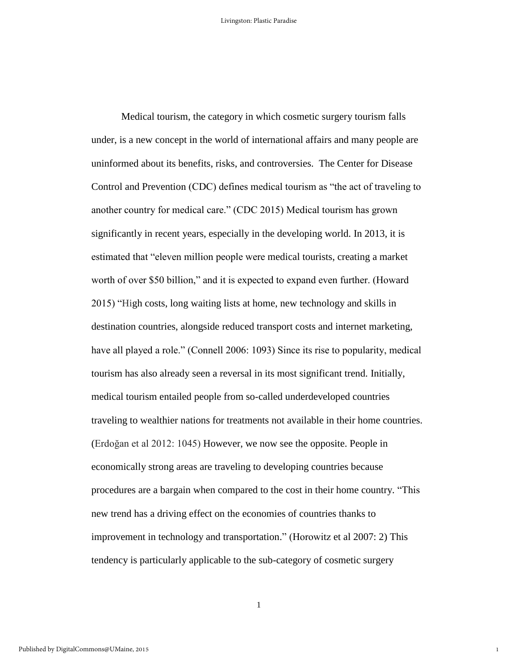Medical tourism, the category in which cosmetic surgery tourism falls under, is a new concept in the world of international affairs and many people are uninformed about its benefits, risks, and controversies. The Center for Disease Control and Prevention (CDC) defines medical tourism as "the act of traveling to another country for medical care." (CDC 2015) Medical tourism has grown significantly in recent years, especially in the developing world. In 2013, it is estimated that "eleven million people were medical tourists, creating a market worth of over \$50 billion," and it is expected to expand even further. (Howard 2015) "High costs, long waiting lists at home, new technology and skills in destination countries, alongside reduced transport costs and internet marketing, have all played a role." (Connell 2006: 1093) Since its rise to popularity, medical tourism has also already seen a reversal in its most significant trend. Initially, medical tourism entailed people from so-called underdeveloped countries traveling to wealthier nations for treatments not available in their home countries. (Erdoğan et al 2012: 1045) However, we now see the opposite. People in economically strong areas are traveling to developing countries because procedures are a bargain when compared to the cost in their home country. "This new trend has a driving effect on the economies of countries thanks to improvement in technology and transportation." (Horowitz et al 2007: 2) This tendency is particularly applicable to the sub-category of cosmetic surgery

1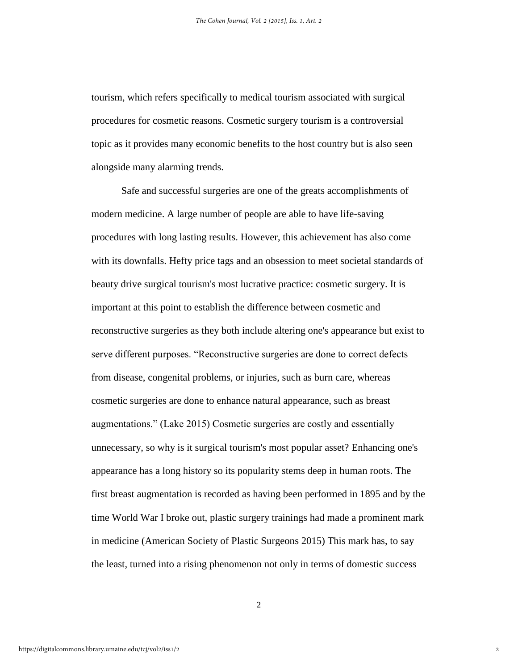tourism, which refers specifically to medical tourism associated with surgical procedures for cosmetic reasons. Cosmetic surgery tourism is a controversial topic as it provides many economic benefits to the host country but is also seen alongside many alarming trends.

Safe and successful surgeries are one of the greats accomplishments of modern medicine. A large number of people are able to have life-saving procedures with long lasting results. However, this achievement has also come with its downfalls. Hefty price tags and an obsession to meet societal standards of beauty drive surgical tourism's most lucrative practice: cosmetic surgery. It is important at this point to establish the difference between cosmetic and reconstructive surgeries as they both include altering one's appearance but exist to serve different purposes. "Reconstructive surgeries are done to correct defects from disease, congenital problems, or injuries, such as burn care, whereas cosmetic surgeries are done to enhance natural appearance, such as breast augmentations." (Lake 2015) Cosmetic surgeries are costly and essentially unnecessary, so why is it surgical tourism's most popular asset? Enhancing one's appearance has a long history so its popularity stems deep in human roots. The first breast augmentation is recorded as having been performed in 1895 and by the time World War I broke out, plastic surgery trainings had made a prominent mark in medicine (American Society of Plastic Surgeons 2015) This mark has, to say the least, turned into a rising phenomenon not only in terms of domestic success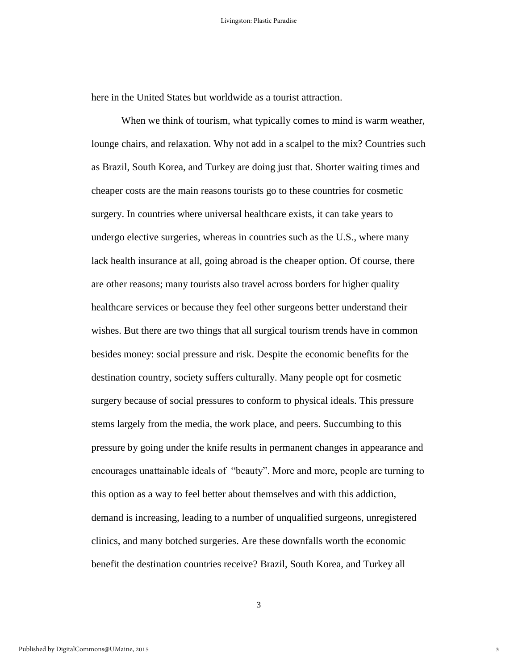here in the United States but worldwide as a tourist attraction.

When we think of tourism, what typically comes to mind is warm weather, lounge chairs, and relaxation. Why not add in a scalpel to the mix? Countries such as Brazil, South Korea, and Turkey are doing just that. Shorter waiting times and cheaper costs are the main reasons tourists go to these countries for cosmetic surgery. In countries where universal healthcare exists, it can take years to undergo elective surgeries, whereas in countries such as the U.S., where many lack health insurance at all, going abroad is the cheaper option. Of course, there are other reasons; many tourists also travel across borders for higher quality healthcare services or because they feel other surgeons better understand their wishes. But there are two things that all surgical tourism trends have in common besides money: social pressure and risk. Despite the economic benefits for the destination country, society suffers culturally. Many people opt for cosmetic surgery because of social pressures to conform to physical ideals. This pressure stems largely from the media, the work place, and peers. Succumbing to this pressure by going under the knife results in permanent changes in appearance and encourages unattainable ideals of "beauty". More and more, people are turning to this option as a way to feel better about themselves and with this addiction, demand is increasing, leading to a number of unqualified surgeons, unregistered clinics, and many botched surgeries. Are these downfalls worth the economic benefit the destination countries receive? Brazil, South Korea, and Turkey all

3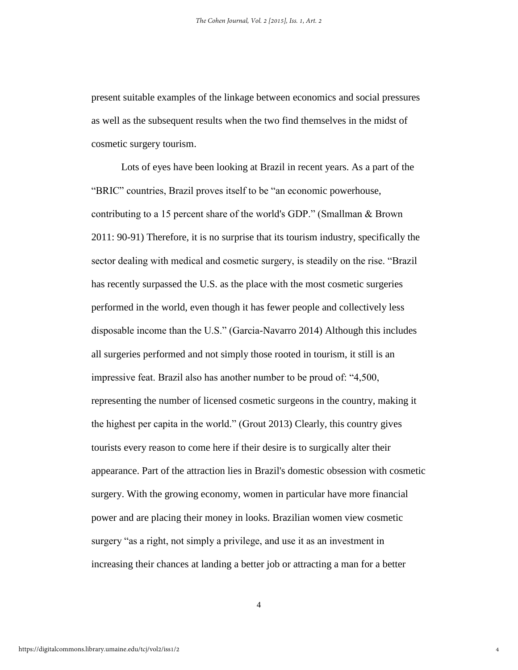present suitable examples of the linkage between economics and social pressures as well as the subsequent results when the two find themselves in the midst of cosmetic surgery tourism.

Lots of eyes have been looking at Brazil in recent years. As a part of the "BRIC" countries, Brazil proves itself to be "an economic powerhouse, contributing to a 15 percent share of the world's GDP." (Smallman & Brown 2011: 90-91) Therefore, it is no surprise that its tourism industry, specifically the sector dealing with medical and cosmetic surgery, is steadily on the rise. "Brazil has recently surpassed the U.S. as the place with the most cosmetic surgeries performed in the world, even though it has fewer people and collectively less disposable income than the U.S." (Garcia-Navarro 2014) Although this includes all surgeries performed and not simply those rooted in tourism, it still is an impressive feat. Brazil also has another number to be proud of: "4,500, representing the number of licensed cosmetic surgeons in the country, making it the highest per capita in the world." (Grout 2013) Clearly, this country gives tourists every reason to come here if their desire is to surgically alter their appearance. Part of the attraction lies in Brazil's domestic obsession with cosmetic surgery. With the growing economy, women in particular have more financial power and are placing their money in looks. Brazilian women view cosmetic surgery "as a right, not simply a privilege, and use it as an investment in increasing their chances at landing a better job or attracting a man for a better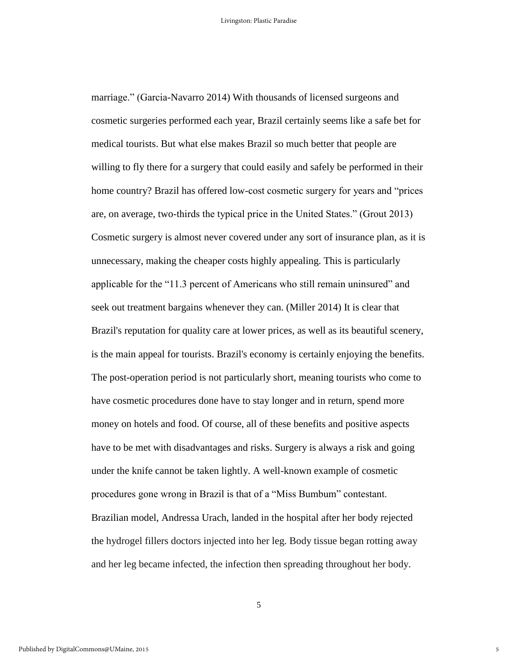marriage." (Garcia-Navarro 2014) With thousands of licensed surgeons and cosmetic surgeries performed each year, Brazil certainly seems like a safe bet for medical tourists. But what else makes Brazil so much better that people are willing to fly there for a surgery that could easily and safely be performed in their home country? Brazil has offered low-cost cosmetic surgery for years and "prices are, on average, two-thirds the typical price in the United States." (Grout 2013) Cosmetic surgery is almost never covered under any sort of insurance plan, as it is unnecessary, making the cheaper costs highly appealing. This is particularly applicable for the "11.3 percent of Americans who still remain uninsured" and seek out treatment bargains whenever they can. (Miller 2014) It is clear that Brazil's reputation for quality care at lower prices, as well as its beautiful scenery, is the main appeal for tourists. Brazil's economy is certainly enjoying the benefits. The post-operation period is not particularly short, meaning tourists who come to have cosmetic procedures done have to stay longer and in return, spend more money on hotels and food. Of course, all of these benefits and positive aspects have to be met with disadvantages and risks. Surgery is always a risk and going under the knife cannot be taken lightly. A well-known example of cosmetic procedures gone wrong in Brazil is that of a "Miss Bumbum" contestant. Brazilian model, Andressa Urach, landed in the hospital after her body rejected the hydrogel fillers doctors injected into her leg. Body tissue began rotting away and her leg became infected, the infection then spreading throughout her body.

5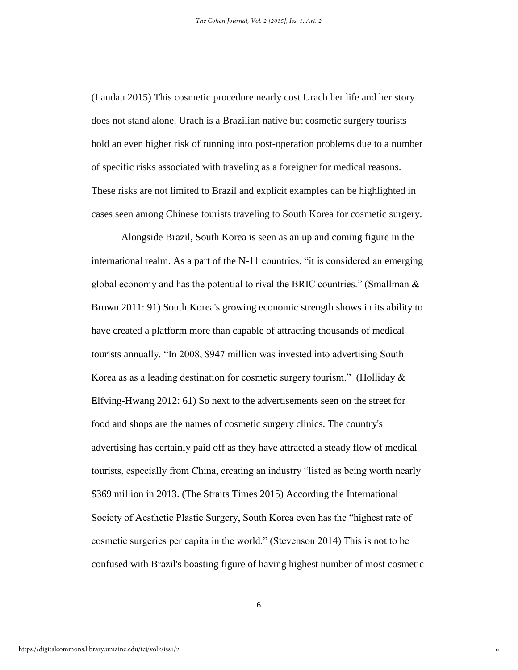(Landau 2015) This cosmetic procedure nearly cost Urach her life and her story does not stand alone. Urach is a Brazilian native but cosmetic surgery tourists hold an even higher risk of running into post-operation problems due to a number of specific risks associated with traveling as a foreigner for medical reasons. These risks are not limited to Brazil and explicit examples can be highlighted in cases seen among Chinese tourists traveling to South Korea for cosmetic surgery.

Alongside Brazil, South Korea is seen as an up and coming figure in the international realm. As a part of the N-11 countries, "it is considered an emerging global economy and has the potential to rival the BRIC countries." (Smallman  $\&$ Brown 2011: 91) South Korea's growing economic strength shows in its ability to have created a platform more than capable of attracting thousands of medical tourists annually. "In 2008, \$947 million was invested into advertising South Korea as as a leading destination for cosmetic surgery tourism." (Holliday  $\&$ Elfving-Hwang 2012: 61) So next to the advertisements seen on the street for food and shops are the names of cosmetic surgery clinics. The country's advertising has certainly paid off as they have attracted a steady flow of medical tourists, especially from China, creating an industry "listed as being worth nearly \$369 million in 2013. (The Straits Times 2015) According the International Society of Aesthetic Plastic Surgery, South Korea even has the "highest rate of cosmetic surgeries per capita in the world." (Stevenson 2014) This is not to be confused with Brazil's boasting figure of having highest number of most cosmetic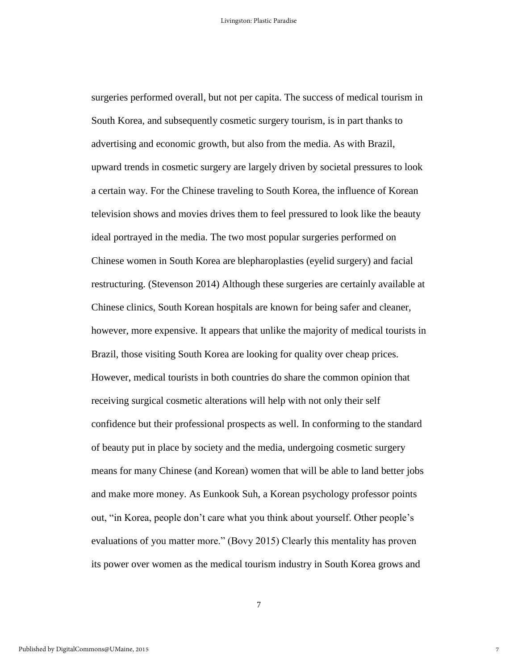surgeries performed overall, but not per capita. The success of medical tourism in South Korea, and subsequently cosmetic surgery tourism, is in part thanks to advertising and economic growth, but also from the media. As with Brazil, upward trends in cosmetic surgery are largely driven by societal pressures to look a certain way. For the Chinese traveling to South Korea, the influence of Korean television shows and movies drives them to feel pressured to look like the beauty ideal portrayed in the media. The two most popular surgeries performed on Chinese women in South Korea are blepharoplasties (eyelid surgery) and facial restructuring. (Stevenson 2014) Although these surgeries are certainly available at Chinese clinics, South Korean hospitals are known for being safer and cleaner, however, more expensive. It appears that unlike the majority of medical tourists in Brazil, those visiting South Korea are looking for quality over cheap prices. However, medical tourists in both countries do share the common opinion that receiving surgical cosmetic alterations will help with not only their self confidence but their professional prospects as well. In conforming to the standard of beauty put in place by society and the media, undergoing cosmetic surgery means for many Chinese (and Korean) women that will be able to land better jobs and make more money. As Eunkook Suh, a Korean psychology professor points out, "in Korea, people don't care what you think about yourself. Other people's evaluations of you matter more." (Bovy 2015) Clearly this mentality has proven its power over women as the medical tourism industry in South Korea grows and

7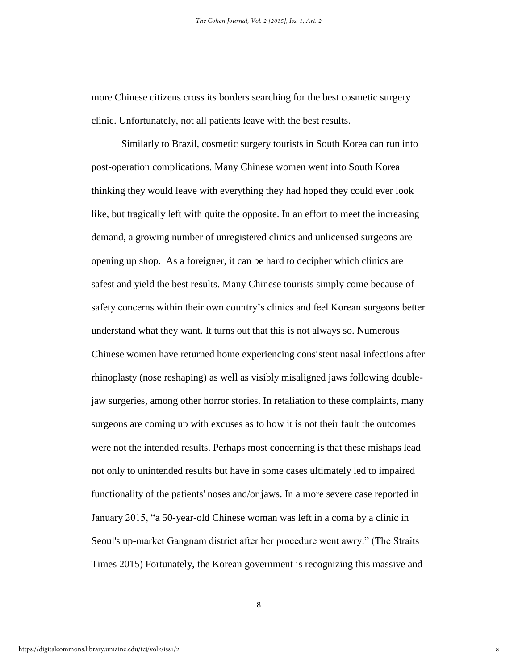more Chinese citizens cross its borders searching for the best cosmetic surgery clinic. Unfortunately, not all patients leave with the best results.

Similarly to Brazil, cosmetic surgery tourists in South Korea can run into post-operation complications. Many Chinese women went into South Korea thinking they would leave with everything they had hoped they could ever look like, but tragically left with quite the opposite. In an effort to meet the increasing demand, a growing number of unregistered clinics and unlicensed surgeons are opening up shop. As a foreigner, it can be hard to decipher which clinics are safest and yield the best results. Many Chinese tourists simply come because of safety concerns within their own country's clinics and feel Korean surgeons better understand what they want. It turns out that this is not always so. Numerous Chinese women have returned home experiencing consistent nasal infections after rhinoplasty (nose reshaping) as well as visibly misaligned jaws following doublejaw surgeries, among other horror stories. In retaliation to these complaints, many surgeons are coming up with excuses as to how it is not their fault the outcomes were not the intended results. Perhaps most concerning is that these mishaps lead not only to unintended results but have in some cases ultimately led to impaired functionality of the patients' noses and/or jaws. In a more severe case reported in January 2015, "a 50-year-old Chinese woman was left in a coma by a clinic in Seoul's up-market Gangnam district after her procedure went awry." (The Straits Times 2015) Fortunately, the Korean government is recognizing this massive and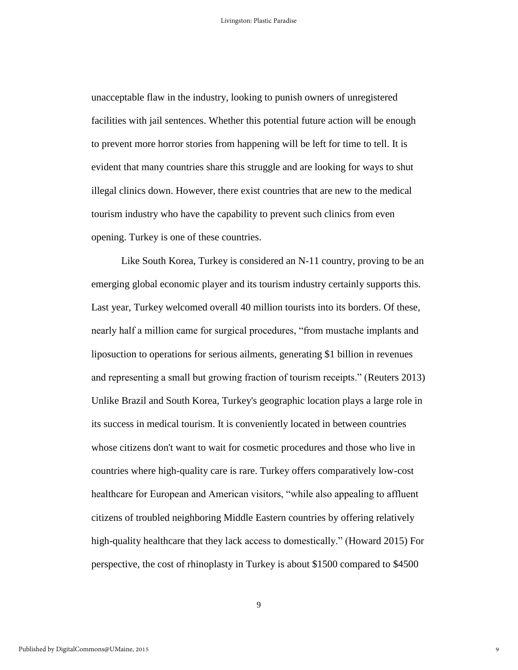unacceptable flaw in the industry, looking to punish owners of unregistered facilities with jail sentences. Whether this potential future action will be enough to prevent more horror stories from happening will be left for time to tell. It is evident that many countries share this struggle and are looking for ways to shut illegal clinics down. However, there exist countries that are new to the medical tourism industry who have the capability to prevent such clinics from even opening. Turkey is one of these countries.

Like South Korea, Turkey is considered an N-11 country, proving to be an emerging global economic player and its tourism industry certainly supports this. Last year, Turkey welcomed overall 40 million tourists into its borders. Of these, nearly half a million came for surgical procedures, "from mustache implants and liposuction to operations for serious ailments, generating \$1 billion in revenues and representing a small but growing fraction of tourism receipts." (Reuters 2013) Unlike Brazil and South Korea, Turkey's geographic location plays a large role in its success in medical tourism. It is conveniently located in between countries whose citizens don't want to wait for cosmetic procedures and those who live in countries where high-quality care is rare. Turkey offers comparatively low-cost healthcare for European and American visitors, "while also appealing to affluent citizens of troubled neighboring Middle Eastern countries by offering relatively high-quality healthcare that they lack access to domestically." (Howard 2015) For perspective, the cost of rhinoplasty in Turkey is about \$1500 compared to \$4500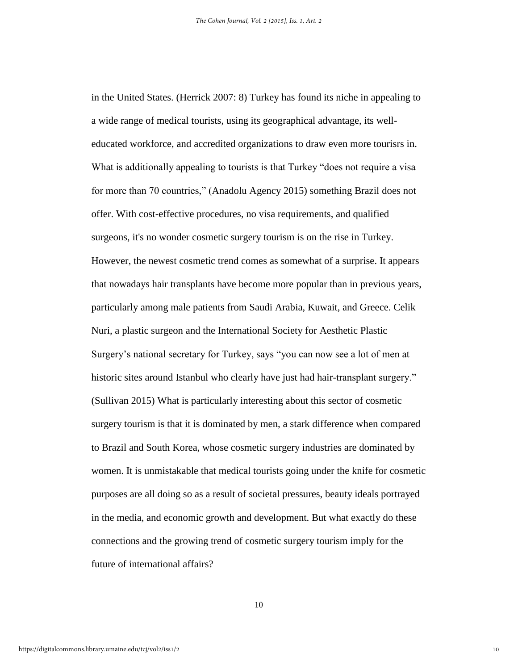in the United States. (Herrick 2007: 8) Turkey has found its niche in appealing to a wide range of medical tourists, using its geographical advantage, its welleducated workforce, and accredited organizations to draw even more tourisrs in. What is additionally appealing to tourists is that Turkey "does not require a visa for more than 70 countries," (Anadolu Agency 2015) something Brazil does not offer. With cost-effective procedures, no visa requirements, and qualified surgeons, it's no wonder cosmetic surgery tourism is on the rise in Turkey. However, the newest cosmetic trend comes as somewhat of a surprise. It appears that nowadays hair transplants have become more popular than in previous years, particularly among male patients from Saudi Arabia, Kuwait, and Greece. Celik Nuri, a plastic surgeon and the International Society for Aesthetic Plastic Surgery's national secretary for Turkey, says "you can now see a lot of men at historic sites around Istanbul who clearly have just had hair-transplant surgery." (Sullivan 2015) What is particularly interesting about this sector of cosmetic surgery tourism is that it is dominated by men, a stark difference when compared to Brazil and South Korea, whose cosmetic surgery industries are dominated by women. It is unmistakable that medical tourists going under the knife for cosmetic purposes are all doing so as a result of societal pressures, beauty ideals portrayed in the media, and economic growth and development. But what exactly do these connections and the growing trend of cosmetic surgery tourism imply for the future of international affairs?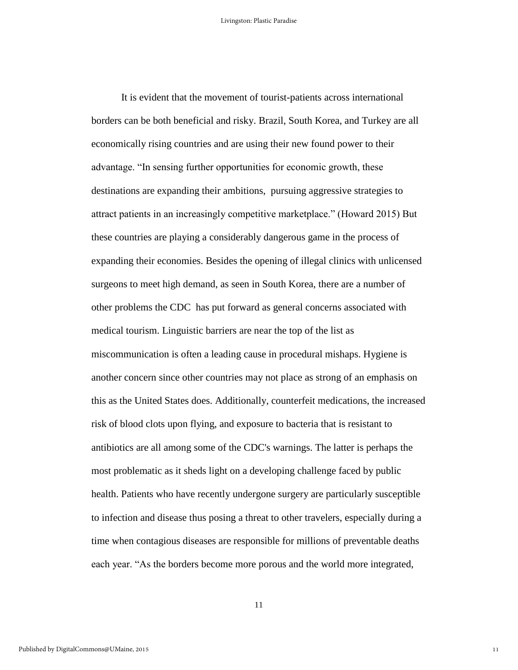It is evident that the movement of tourist-patients across international borders can be both beneficial and risky. Brazil, South Korea, and Turkey are all economically rising countries and are using their new found power to their advantage. "In sensing further opportunities for economic growth, these destinations are expanding their ambitions, pursuing aggressive strategies to attract patients in an increasingly competitive marketplace." (Howard 2015) But these countries are playing a considerably dangerous game in the process of expanding their economies. Besides the opening of illegal clinics with unlicensed surgeons to meet high demand, as seen in South Korea, there are a number of other problems the CDC has put forward as general concerns associated with medical tourism. Linguistic barriers are near the top of the list as miscommunication is often a leading cause in procedural mishaps. Hygiene is another concern since other countries may not place as strong of an emphasis on this as the United States does. Additionally, counterfeit medications, the increased risk of blood clots upon flying, and exposure to bacteria that is resistant to antibiotics are all among some of the CDC's warnings. The latter is perhaps the most problematic as it sheds light on a developing challenge faced by public health. Patients who have recently undergone surgery are particularly susceptible to infection and disease thus posing a threat to other travelers, especially during a time when contagious diseases are responsible for millions of preventable deaths each year. "As the borders become more porous and the world more integrated,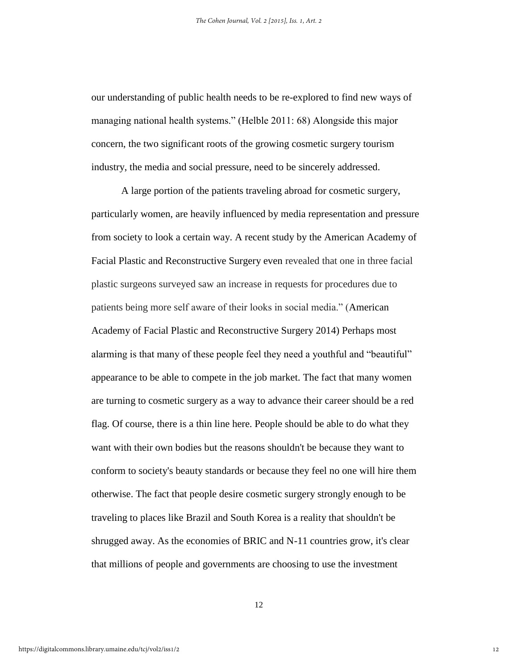our understanding of public health needs to be re-explored to find new ways of managing national health systems." (Helble 2011: 68) Alongside this major concern, the two significant roots of the growing cosmetic surgery tourism industry, the media and social pressure, need to be sincerely addressed.

A large portion of the patients traveling abroad for cosmetic surgery, particularly women, are heavily influenced by media representation and pressure from society to look a certain way. A recent study by the American Academy of Facial Plastic and Reconstructive Surgery even revealed that one in three facial plastic surgeons surveyed saw an increase in requests for procedures due to patients being more self aware of their looks in social media." (American Academy of Facial Plastic and Reconstructive Surgery 2014) Perhaps most alarming is that many of these people feel they need a youthful and "beautiful" appearance to be able to compete in the job market. The fact that many women are turning to cosmetic surgery as a way to advance their career should be a red flag. Of course, there is a thin line here. People should be able to do what they want with their own bodies but the reasons shouldn't be because they want to conform to society's beauty standards or because they feel no one will hire them otherwise. The fact that people desire cosmetic surgery strongly enough to be traveling to places like Brazil and South Korea is a reality that shouldn't be shrugged away. As the economies of BRIC and N-11 countries grow, it's clear that millions of people and governments are choosing to use the investment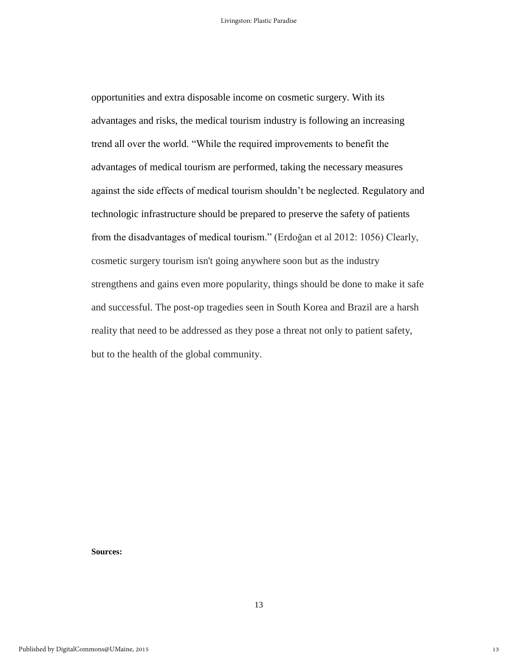opportunities and extra disposable income on cosmetic surgery. With its advantages and risks, the medical tourism industry is following an increasing trend all over the world. "While the required improvements to benefit the advantages of medical tourism are performed, taking the necessary measures against the side effects of medical tourism shouldn't be neglected. Regulatory and technologic infrastructure should be prepared to preserve the safety of patients from the disadvantages of medical tourism." (Erdoğan et al 2012: 1056) Clearly, cosmetic surgery tourism isn't going anywhere soon but as the industry strengthens and gains even more popularity, things should be done to make it safe and successful. The post-op tragedies seen in South Korea and Brazil are a harsh reality that need to be addressed as they pose a threat not only to patient safety, but to the health of the global community.

**Sources:**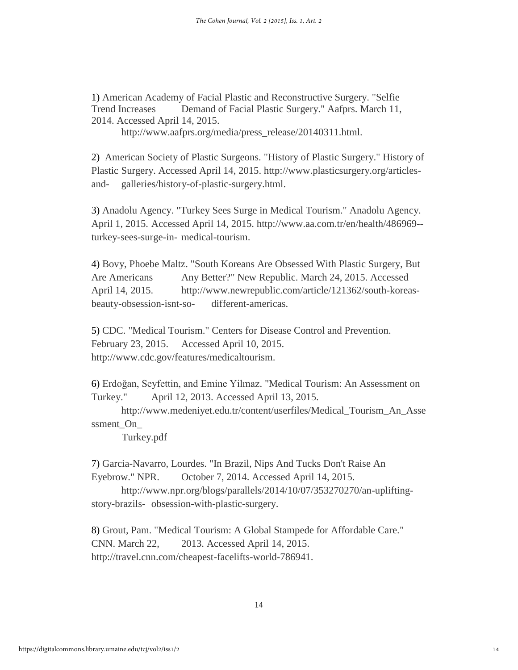1) American Academy of Facial Plastic and Reconstructive Surgery. "Selfie Trend Increases Demand of Facial Plastic Surgery." Aafprs. March 11, 2014. Accessed April 14, 2015.

http://www.aafprs.org/media/press\_release/20140311.html.

2) American Society of Plastic Surgeons. "History of Plastic Surgery." History of Plastic Surgery. Accessed April 14, 2015. http://www.plasticsurgery.org/articlesand- galleries/history-of-plastic-surgery.html.

3) Anadolu Agency. "Turkey Sees Surge in Medical Tourism." Anadolu Agency. April 1, 2015. Accessed April 14, 2015. http://www.aa.com.tr/en/health/486969- turkey-sees-surge-in- medical-tourism.

4) Bovy, Phoebe Maltz. "South Koreans Are Obsessed With Plastic Surgery, But Are Americans Any Better?" New Republic. March 24, 2015. Accessed April 14, 2015. http://www.newrepublic.com/article/121362/south-koreasbeauty-obsession-isnt-so- different-americas.

5) CDC. "Medical Tourism." Centers for Disease Control and Prevention. February 23, 2015. Accessed April 10, 2015. http://www.cdc.gov/features/medicaltourism.

6) Erdoğan, Seyfettin, and Emine Yilmaz. "Medical Tourism: An Assessment on Turkey." April 12, 2013. Accessed April 13, 2015.

http://www.medeniyet.edu.tr/content/userfiles/Medical\_Tourism\_An\_Asse ssment\_On

Turkey.pdf

7) Garcia-Navarro, Lourdes. "In Brazil, Nips And Tucks Don't Raise An Eyebrow." NPR. October 7, 2014. Accessed April 14, 2015.

http://www.npr.org/blogs/parallels/2014/10/07/353270270/an-upliftingstory-brazils- obsession-with-plastic-surgery.

8) Grout, Pam. "Medical Tourism: A Global Stampede for Affordable Care." CNN. March 22, 2013. Accessed April 14, 2015. http://travel.cnn.com/cheapest-facelifts-world-786941.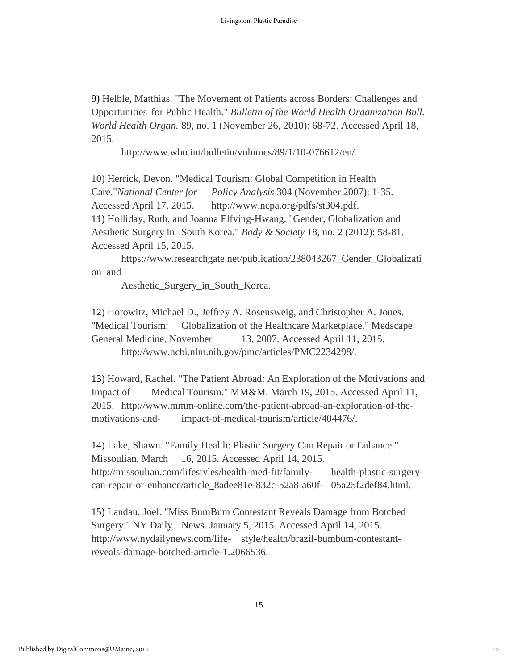9) Helble, Matthias. "The Movement of Patients across Borders: Challenges and Opportunities for Public Health." *Bulletin of the World Health Organization Bull. World Health Organ.* 89, no. 1 (November 26, 2010): 68-72. Accessed April 18, 2015.

http://www.who.int/bulletin/volumes/89/1/10-076612/en/.

10) Herrick, Devon. "Medical Tourism: Global Competition in Health Care."*National Center for Policy Analysis* 304 (November 2007): 1-35. Accessed April 17, 2015. http://www.ncpa.org/pdfs/st304.pdf. 11) Holliday, Ruth, and Joanna Elfving-Hwang. "Gender, Globalization and Aesthetic Surgery in South Korea." *Body & Society* 18, no. 2 (2012): 58-81. Accessed April 15, 2015.

https://www.researchgate.net/publication/238043267\_Gender\_Globalizati on\_and\_

Aesthetic\_Surgery\_in\_South\_Korea.

12) Horowitz, Michael D., Jeffrey A. Rosensweig, and Christopher A. Jones. "Medical Tourism: Globalization of the Healthcare Marketplace." Medscape General Medicine. November 13, 2007. Accessed April 11, 2015. http://www.ncbi.nlm.nih.gov/pmc/articles/PMC2234298/.

13) Howard, Rachel. "The Patient Abroad: An Exploration of the Motivations and Impact of Medical Tourism." MM&M. March 19, 2015. Accessed April 11, 2015. http://www.mmm-online.com/the-patient-abroad-an-exploration-of-themotivations-and- impact-of-medical-tourism/article/404476/.

14) Lake, Shawn. "Family Health: Plastic Surgery Can Repair or Enhance." Missoulian. March 16, 2015. Accessed April 14, 2015. http://missoulian.com/lifestyles/health-med-fit/family- health-plastic-surgerycan-repair-or-enhance/article\_8adee81e-832c-52a8-a60f- 05a25f2def84.html.

15) Landau, Joel. "Miss BumBum Contestant Reveals Damage from Botched Surgery." NY Daily News. January 5, 2015. Accessed April 14, 2015. http://www.nydailynews.com/life- style/health/brazil-bumbum-contestantreveals-damage-botched-article-1.2066536.